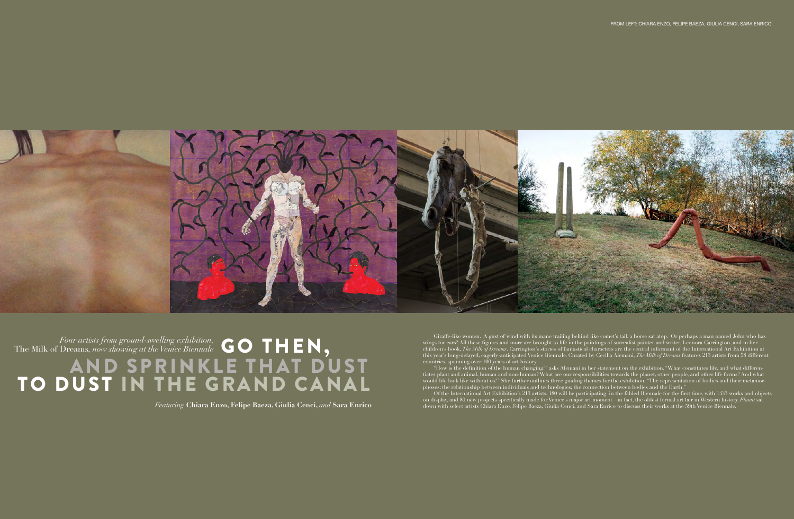

*Four artists from ground-swelling exhibition,*  The Milk of Dreams*, now showing at the Venice Biennale* GO THEN, AND SPRINKLE THAT DUST TO DUST IN THE GRAND CANAL

*Featuring* **Chiara Enzo, Felipe Baeza, Giulia Cenci,** *and* **Sara Enrico**

Giraffe-like women. A gust of wind with its mane trailing behind like comet's tail, a horse sat atop. Or perhaps a man named John who has wings for ears? All these figures and more are brought to life in the paintings of surrealist painter and writer, Leonora Carrington, and in her children's book, *The Milk of Dreams*. Carrington's stories of fantastical characters are the central informant of the International Art Exhibition at this year's long-delayed, eagerly-anticipated Venice Biennale. Curated by Cecilia Alemani, *The Milk of Dreams* features 213 artists from 58 different countries, spanning over 100 years of art history.

"How is the definition of the human changing?" asks Alemani in her statement on the exhibition. "What constitutes life, and what differentiates plant and animal, human and non-human? What are our responsibilities towards the planet, other people, and other life forms? And what would life look like without us?" She further outlines three guiding themes for the exhibition: "The representation of bodies and their metamorphoses; the relationship between individuals and technologies; the connection between bodies and the Earth."

Of the International Art Exhibition's 213 artists, 180 will be participating in the fabled Biennale for the first time, with 1433 works and objects on display, and 80 new projects specifically made for Venice's major art moment—in fact, the oldest formal art fair in Western history. *Flaunt* sat down with select artists Chiara Enzo, Felipe Baeza, Giulia Cenci, and Sara Enrico to discuss their works at the 59th Venice Biennale.